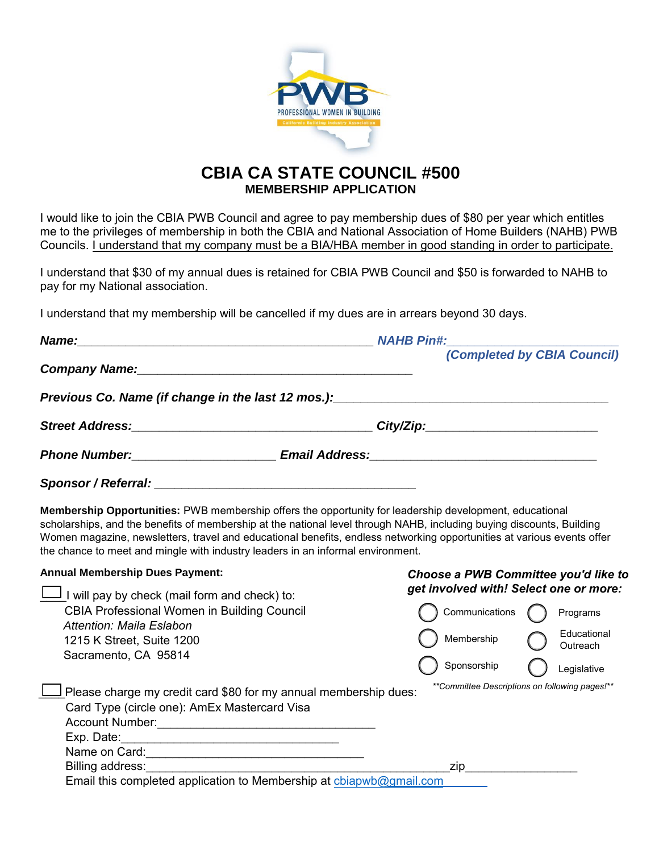

## **CBIA CA STATE COUNCIL #500 MEMBERSHIP APPLICATION**

I would like to join the CBIA PWB Council and agree to pay membership dues of \$80 per year which entitles me to the privileges of membership in both the CBIA and National Association of Home Builders (NAHB) PWB Councils. I understand that my company must be a BIA/HBA member in good standing in order to participate.

I understand that \$30 of my annual dues is retained for CBIA PWB Council and \$50 is forwarded to NAHB to pay for my National association.

I understand that my membership will be cancelled if my dues are in arrears beyond 30 days.

| Name:                                                                                                                                                                                         | <b>NAHB Pin#:</b>                                                                                                                                                                                                                                                                                                                                                 |
|-----------------------------------------------------------------------------------------------------------------------------------------------------------------------------------------------|-------------------------------------------------------------------------------------------------------------------------------------------------------------------------------------------------------------------------------------------------------------------------------------------------------------------------------------------------------------------|
|                                                                                                                                                                                               | (Completed by CBIA Council)                                                                                                                                                                                                                                                                                                                                       |
| Company Name: Manual Company Name: Manual Company Name:                                                                                                                                       |                                                                                                                                                                                                                                                                                                                                                                   |
| Previous Co. Name (if change in the last 12 mos.):                                                                                                                                            | <u> 1980 - Jan Barbara Barbara, manazarta da kasas da kasas da kasas da kasas da kasas da kasas da kasas da kasa</u>                                                                                                                                                                                                                                              |
|                                                                                                                                                                                               |                                                                                                                                                                                                                                                                                                                                                                   |
|                                                                                                                                                                                               |                                                                                                                                                                                                                                                                                                                                                                   |
|                                                                                                                                                                                               |                                                                                                                                                                                                                                                                                                                                                                   |
| the chance to meet and mingle with industry leaders in an informal environment.                                                                                                               | <b>Membership Opportunities:</b> PWB membership offers the opportunity for leadership development, educational<br>scholarships, and the benefits of membership at the national level through NAHB, including buying discounts, Building<br>Women magazine, newsletters, travel and educational benefits, endless networking opportunities at various events offer |
| <b>Annual Membership Dues Payment:</b>                                                                                                                                                        | Choose a PWB Committee you'd like to                                                                                                                                                                                                                                                                                                                              |
| J I will pay by check (mail form and check) to:<br><b>CBIA Professional Women in Building Council</b><br><b>Attention: Maila Eslabon</b><br>1215 K Street, Suite 1200<br>Sacramento, CA 95814 | get involved with! Select one or more:<br>Communications<br>Programs<br>Educational<br>Membership<br>Outreach                                                                                                                                                                                                                                                     |
|                                                                                                                                                                                               | Sponsorship<br>Legislative                                                                                                                                                                                                                                                                                                                                        |
| Please charge my credit card \$80 for my annual membership dues:<br>Card Type (circle one): AmEx Mastercard Visa                                                                              | **Committee Descriptions on following pages!**                                                                                                                                                                                                                                                                                                                    |
|                                                                                                                                                                                               |                                                                                                                                                                                                                                                                                                                                                                   |
|                                                                                                                                                                                               |                                                                                                                                                                                                                                                                                                                                                                   |
|                                                                                                                                                                                               |                                                                                                                                                                                                                                                                                                                                                                   |
| Billing address:<br>Email this completed application to Membership at cbiapwb@gmail.com                                                                                                       | zip                                                                                                                                                                                                                                                                                                                                                               |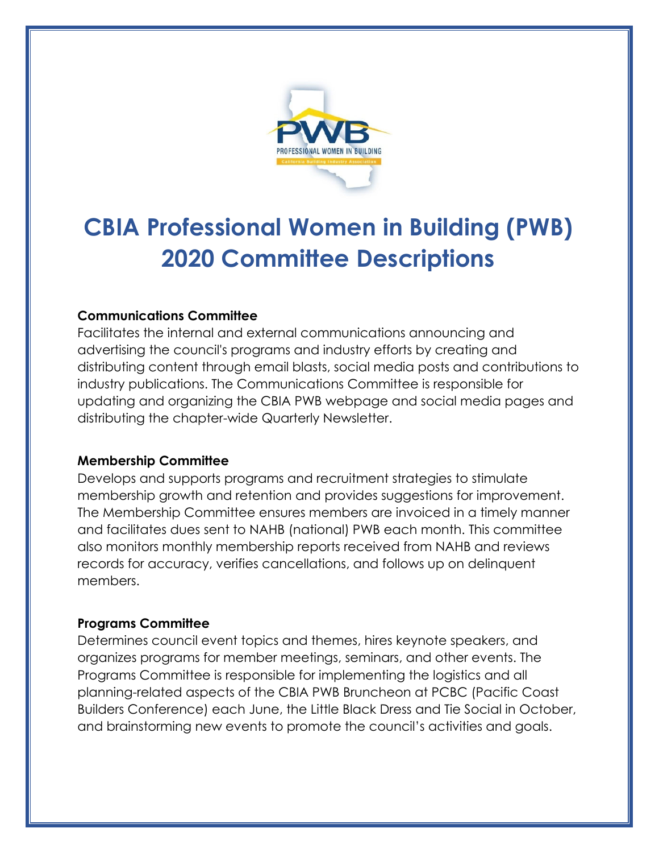

# **CBIA Professional Women in Building (PWB) 2020 Committee Descriptions**

## **Communications Committee**

Facilitates the internal and external communications announcing and advertising the council's programs and industry efforts by creating and distributing content through email blasts, social media posts and contributions to industry publications. The Communications Committee is responsible for updating and organizing the CBIA PWB webpage and social media pages and distributing the chapter-wide Quarterly Newsletter.

## **Membership Committee**

Develops and supports programs and recruitment strategies to stimulate membership growth and retention and provides suggestions for improvement. The Membership Committee ensures members are invoiced in a timely manner and facilitates dues sent to NAHB (national) PWB each month. This committee also monitors monthly membership reports received from NAHB and reviews records for accuracy, verifies cancellations, and follows up on delinquent members.

## **Programs Committee**

Determines council event topics and themes, hires keynote speakers, and organizes programs for member meetings, seminars, and other events. The Programs Committee is responsible for implementing the logistics and all planning-related aspects of the CBIA PWB Bruncheon at PCBC (Pacific Coast Builders Conference) each June, the Little Black Dress and Tie Social in October, and brainstorming new events to promote the council's activities and goals.